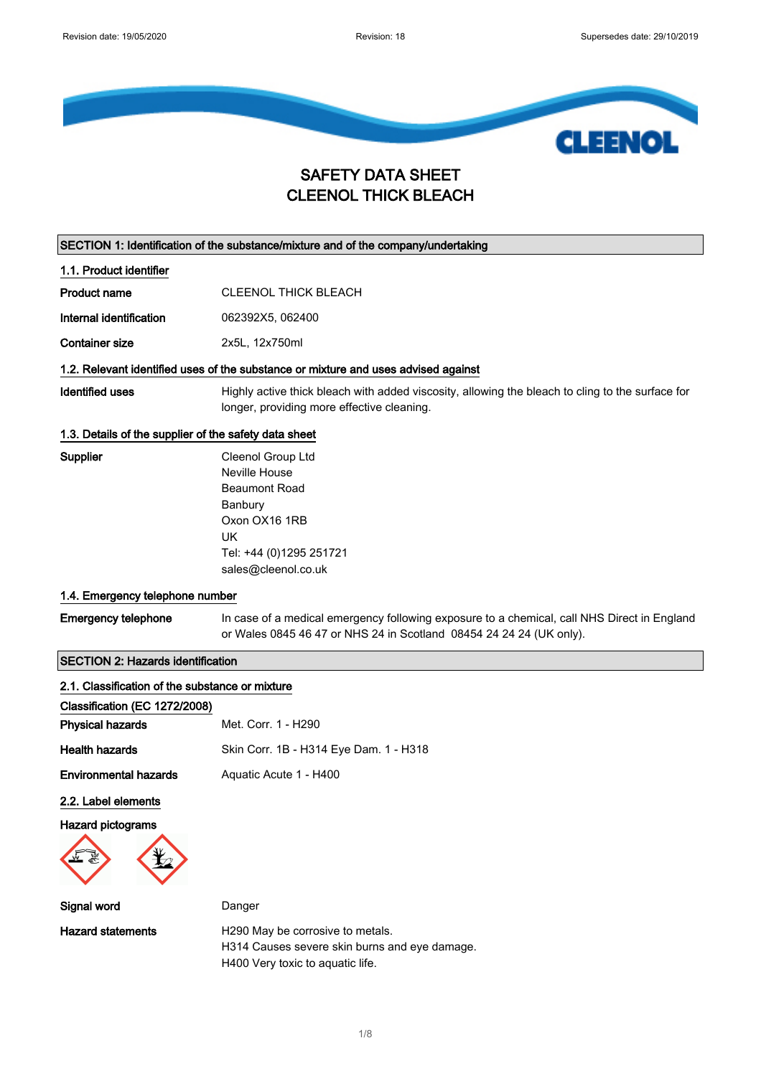

## SAFETY DATA SHEET CLEENOL THICK BLEACH

SECTION 1: Identification of the substance/mixture and of the company/undertaking

1.1. Product identifier

Product name CLEENOL THICK BLEACH

Internal identification 062392X5, 062400

Container size 2x5L, 12x750ml

### 1.2. Relevant identified uses of the substance or mixture and uses advised against

Identified uses Highly active thick bleach with added viscosity, allowing the bleach to cling to the surface for longer, providing more effective cleaning.

### 1.3. Details of the supplier of the safety data sheet

Supplier Cleenol Group Ltd Neville House Beaumont Road Banbury Oxon OX16 1RB UK Tel: +44 (0)1295 251721 sales@cleenol.co.uk

#### 1.4. Emergency telephone number

Emergency telephone In case of a medical emergency following exposure to a chemical, call NHS Direct in England or Wales 0845 46 47 or NHS 24 in Scotland 08454 24 24 24 (UK only).

### SECTION 2: Hazards identification

| 2.1. Classification of the substance or mixture |                                                                                                                       |  |
|-------------------------------------------------|-----------------------------------------------------------------------------------------------------------------------|--|
| Classification (EC 1272/2008)                   |                                                                                                                       |  |
| <b>Physical hazards</b>                         | Met. Corr. 1 - H290                                                                                                   |  |
| <b>Health hazards</b>                           | Skin Corr. 1B - H314 Eye Dam. 1 - H318                                                                                |  |
| <b>Environmental hazards</b>                    | Aquatic Acute 1 - H400                                                                                                |  |
| 2.2. Label elements                             |                                                                                                                       |  |
| Hazard pictograms                               |                                                                                                                       |  |
| ₩                                               |                                                                                                                       |  |
| Signal word                                     | Danger                                                                                                                |  |
| <b>Hazard statements</b>                        | H290 May be corrosive to metals.<br>H314 Causes severe skin burns and eye damage.<br>H400 Very toxic to aquatic life. |  |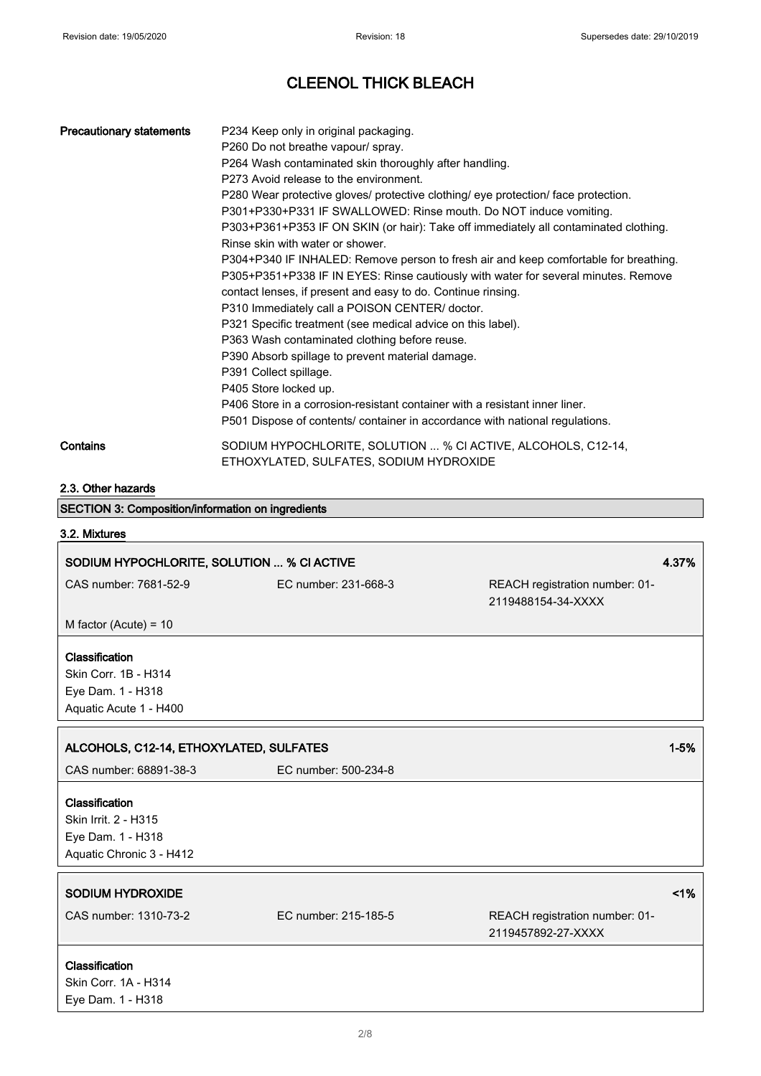I

# CLEENOL THICK BLEACH

| <b>Precautionary statements</b>                          | P234 Keep only in original packaging.<br>P260 Do not breathe vapour/ spray.                              |                                                                                                                                                                            |  |  |
|----------------------------------------------------------|----------------------------------------------------------------------------------------------------------|----------------------------------------------------------------------------------------------------------------------------------------------------------------------------|--|--|
|                                                          | P264 Wash contaminated skin thoroughly after handling.                                                   |                                                                                                                                                                            |  |  |
|                                                          | P273 Avoid release to the environment.                                                                   |                                                                                                                                                                            |  |  |
|                                                          |                                                                                                          | P280 Wear protective gloves/ protective clothing/ eye protection/ face protection.                                                                                         |  |  |
|                                                          | P301+P330+P331 IF SWALLOWED: Rinse mouth. Do NOT induce vomiting.                                        |                                                                                                                                                                            |  |  |
|                                                          |                                                                                                          | P303+P361+P353 IF ON SKIN (or hair): Take off immediately all contaminated clothing.                                                                                       |  |  |
|                                                          | Rinse skin with water or shower.                                                                         |                                                                                                                                                                            |  |  |
|                                                          |                                                                                                          | P304+P340 IF INHALED: Remove person to fresh air and keep comfortable for breathing.<br>P305+P351+P338 IF IN EYES: Rinse cautiously with water for several minutes. Remove |  |  |
|                                                          | contact lenses, if present and easy to do. Continue rinsing.                                             |                                                                                                                                                                            |  |  |
|                                                          | P310 Immediately call a POISON CENTER/ doctor.                                                           |                                                                                                                                                                            |  |  |
|                                                          | P321 Specific treatment (see medical advice on this label).                                              |                                                                                                                                                                            |  |  |
|                                                          | P363 Wash contaminated clothing before reuse.                                                            |                                                                                                                                                                            |  |  |
|                                                          | P390 Absorb spillage to prevent material damage.                                                         |                                                                                                                                                                            |  |  |
|                                                          | P391 Collect spillage.                                                                                   |                                                                                                                                                                            |  |  |
|                                                          | P405 Store locked up.                                                                                    |                                                                                                                                                                            |  |  |
|                                                          |                                                                                                          | P406 Store in a corrosion-resistant container with a resistant inner liner.<br>P501 Dispose of contents/ container in accordance with national regulations.                |  |  |
|                                                          |                                                                                                          |                                                                                                                                                                            |  |  |
| Contains                                                 | SODIUM HYPOCHLORITE, SOLUTION  % CI ACTIVE, ALCOHOLS, C12-14,<br>ETHOXYLATED, SULFATES, SODIUM HYDROXIDE |                                                                                                                                                                            |  |  |
| 2.3. Other hazards                                       |                                                                                                          |                                                                                                                                                                            |  |  |
| <b>SECTION 3: Composition/information on ingredients</b> |                                                                                                          |                                                                                                                                                                            |  |  |
| 3.2. Mixtures                                            |                                                                                                          |                                                                                                                                                                            |  |  |
| SODIUM HYPOCHLORITE, SOLUTION  % CI ACTIVE               |                                                                                                          | 4.37%                                                                                                                                                                      |  |  |
| CAS number: 7681-52-9                                    | EC number: 231-668-3                                                                                     | REACH registration number: 01-                                                                                                                                             |  |  |
|                                                          |                                                                                                          | 2119488154-34-XXXX                                                                                                                                                         |  |  |
| M factor (Acute) = $10$                                  |                                                                                                          |                                                                                                                                                                            |  |  |
| Classification                                           |                                                                                                          |                                                                                                                                                                            |  |  |
| Skin Corr. 1B - H314                                     |                                                                                                          |                                                                                                                                                                            |  |  |
| Eye Dam. 1 - H318                                        |                                                                                                          |                                                                                                                                                                            |  |  |
| Aquatic Acute 1 - H400                                   |                                                                                                          |                                                                                                                                                                            |  |  |
|                                                          |                                                                                                          |                                                                                                                                                                            |  |  |
| ALCOHOLS, C12-14, ETHOXYLATED, SULFATES                  |                                                                                                          | $1 - 5%$                                                                                                                                                                   |  |  |
| CAS number: 68891-38-3                                   | EC number: 500-234-8                                                                                     |                                                                                                                                                                            |  |  |
| Classification                                           |                                                                                                          |                                                                                                                                                                            |  |  |
| Skin Irrit. 2 - H315                                     |                                                                                                          |                                                                                                                                                                            |  |  |
| Eye Dam. 1 - H318                                        |                                                                                                          |                                                                                                                                                                            |  |  |
| Aquatic Chronic 3 - H412                                 |                                                                                                          |                                                                                                                                                                            |  |  |
|                                                          |                                                                                                          |                                                                                                                                                                            |  |  |
| <b>SODIUM HYDROXIDE</b>                                  |                                                                                                          | 1%                                                                                                                                                                         |  |  |
| CAS number: 1310-73-2                                    | EC number: 215-185-5                                                                                     | REACH registration number: 01-                                                                                                                                             |  |  |
|                                                          |                                                                                                          | 2119457892-27-XXXX                                                                                                                                                         |  |  |
|                                                          |                                                                                                          |                                                                                                                                                                            |  |  |
| Classification                                           |                                                                                                          |                                                                                                                                                                            |  |  |
| Skin Corr. 1A - H314<br>Eye Dam. 1 - H318                |                                                                                                          |                                                                                                                                                                            |  |  |
|                                                          |                                                                                                          |                                                                                                                                                                            |  |  |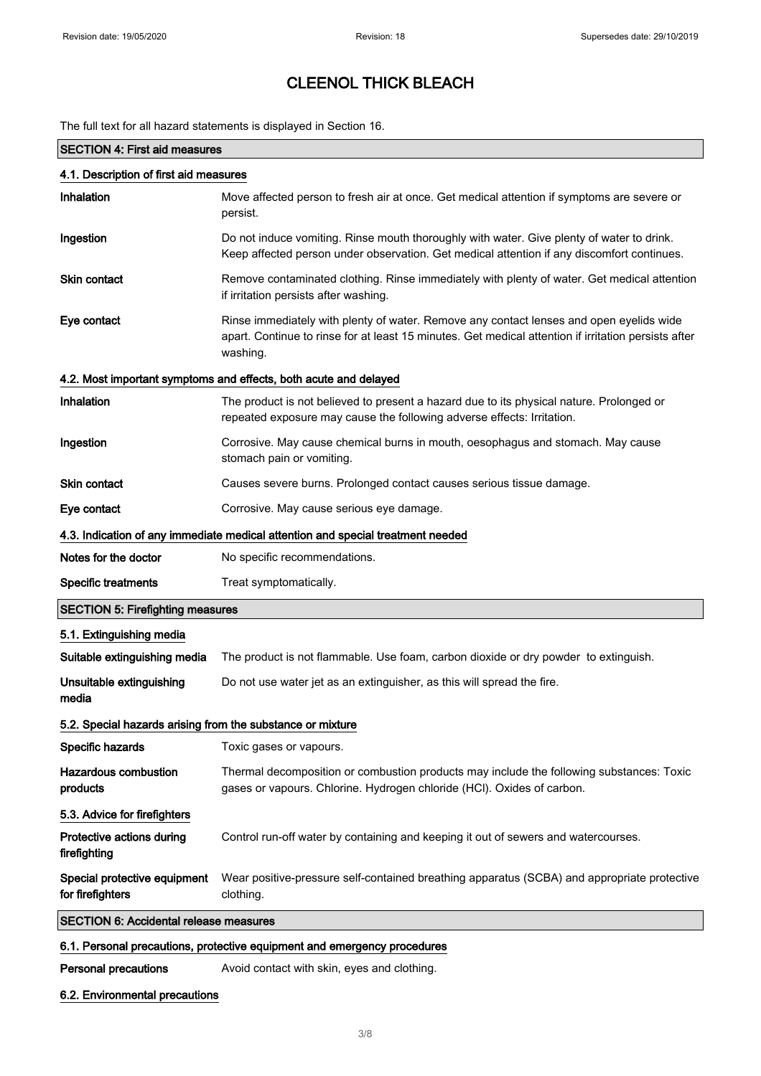The full text for all hazard statements is displayed in Section 16.

| <b>SECTION 4: First aid measures</b>                       |                                                                                                                                                                                                             |  |
|------------------------------------------------------------|-------------------------------------------------------------------------------------------------------------------------------------------------------------------------------------------------------------|--|
| 4.1. Description of first aid measures                     |                                                                                                                                                                                                             |  |
| Inhalation                                                 | Move affected person to fresh air at once. Get medical attention if symptoms are severe or<br>persist.                                                                                                      |  |
| Ingestion                                                  | Do not induce vomiting. Rinse mouth thoroughly with water. Give plenty of water to drink.<br>Keep affected person under observation. Get medical attention if any discomfort continues.                     |  |
| <b>Skin contact</b>                                        | Remove contaminated clothing. Rinse immediately with plenty of water. Get medical attention<br>if irritation persists after washing.                                                                        |  |
| Eye contact                                                | Rinse immediately with plenty of water. Remove any contact lenses and open eyelids wide<br>apart. Continue to rinse for at least 15 minutes. Get medical attention if irritation persists after<br>washing. |  |
|                                                            | 4.2. Most important symptoms and effects, both acute and delayed                                                                                                                                            |  |
| Inhalation                                                 | The product is not believed to present a hazard due to its physical nature. Prolonged or<br>repeated exposure may cause the following adverse effects: Irritation.                                          |  |
| Ingestion                                                  | Corrosive. May cause chemical burns in mouth, oesophagus and stomach. May cause<br>stomach pain or vomiting.                                                                                                |  |
| <b>Skin contact</b>                                        | Causes severe burns. Prolonged contact causes serious tissue damage.                                                                                                                                        |  |
| Eye contact                                                | Corrosive. May cause serious eye damage.                                                                                                                                                                    |  |
|                                                            | 4.3. Indication of any immediate medical attention and special treatment needed                                                                                                                             |  |
| Notes for the doctor                                       | No specific recommendations.                                                                                                                                                                                |  |
| <b>Specific treatments</b>                                 | Treat symptomatically.                                                                                                                                                                                      |  |
| <b>SECTION 5: Firefighting measures</b>                    |                                                                                                                                                                                                             |  |
| 5.1. Extinguishing media                                   |                                                                                                                                                                                                             |  |
| Suitable extinguishing media                               | The product is not flammable. Use foam, carbon dioxide or dry powder to extinguish.                                                                                                                         |  |
| Unsuitable extinguishing<br>media                          | Do not use water jet as an extinguisher, as this will spread the fire.                                                                                                                                      |  |
| 5.2. Special hazards arising from the substance or mixture |                                                                                                                                                                                                             |  |
| Specific hazards                                           | Toxic gases or vapours.                                                                                                                                                                                     |  |
| <b>Hazardous combustion</b><br>products                    | Thermal decomposition or combustion products may include the following substances: Toxic<br>gases or vapours. Chlorine. Hydrogen chloride (HCl). Oxides of carbon.                                          |  |
| 5.3. Advice for firefighters                               |                                                                                                                                                                                                             |  |
| Protective actions during<br>firefighting                  | Control run-off water by containing and keeping it out of sewers and watercourses.                                                                                                                          |  |
| Special protective equipment<br>for firefighters           | Wear positive-pressure self-contained breathing apparatus (SCBA) and appropriate protective<br>clothing.                                                                                                    |  |
| <b>SECTION 6: Accidental release measures</b>              |                                                                                                                                                                                                             |  |
|                                                            | 6.1. Personal precautions, protective equipment and emergency procedures                                                                                                                                    |  |
| Personal precautions                                       | Avoid contact with skin, eyes and clothing.                                                                                                                                                                 |  |

### 6.2. Environmental precautions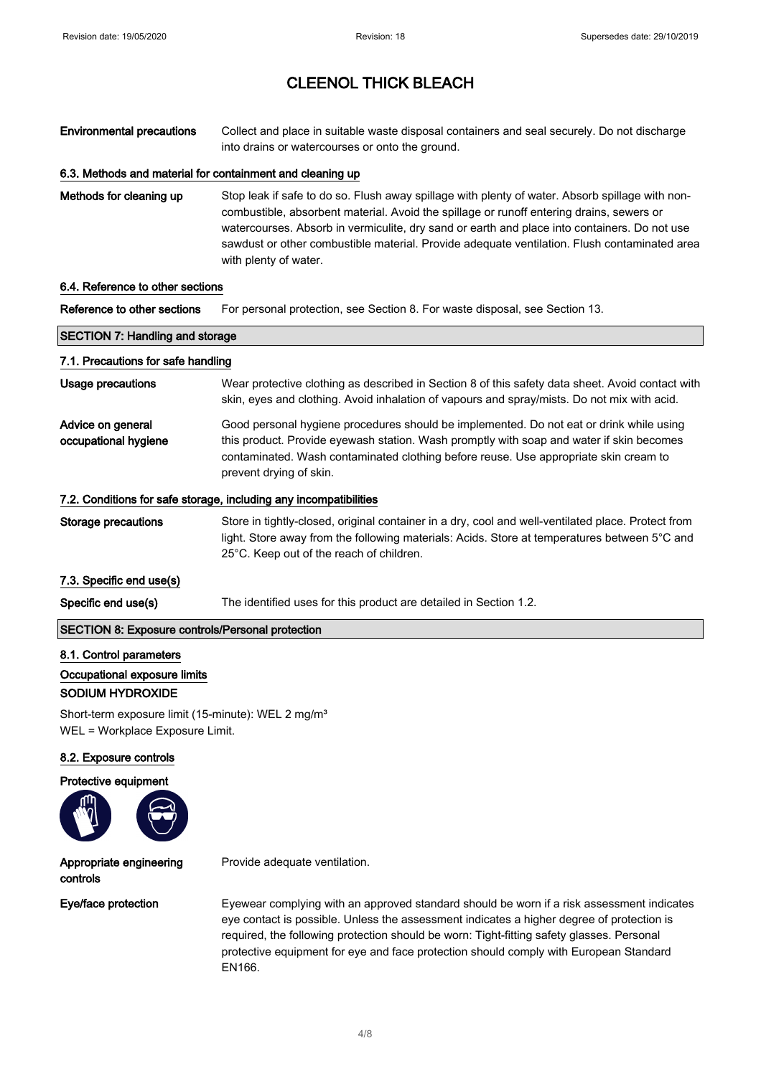Environmental precautions Collect and place in suitable waste disposal containers and seal securely. Do not discharge into drains or watercourses or onto the ground.

### 6.3. Methods and material for containment and cleaning up

Methods for cleaning up Stop leak if safe to do so. Flush away spillage with plenty of water. Absorb spillage with noncombustible, absorbent material. Avoid the spillage or runoff entering drains, sewers or watercourses. Absorb in vermiculite, dry sand or earth and place into containers. Do not use sawdust or other combustible material. Provide adequate ventilation. Flush contaminated area with plenty of water.

#### 6.4. Reference to other sections

Reference to other sections For personal protection, see Section 8. For waste disposal, see Section 13.

| <b>SECTION 7: Handling and storage</b>                  |                                                                                                                                                                                                                                                                                                        |
|---------------------------------------------------------|--------------------------------------------------------------------------------------------------------------------------------------------------------------------------------------------------------------------------------------------------------------------------------------------------------|
| 7.1. Precautions for safe handling                      |                                                                                                                                                                                                                                                                                                        |
| Usage precautions                                       | Wear protective clothing as described in Section 8 of this safety data sheet. Avoid contact with<br>skin, eyes and clothing. Avoid inhalation of vapours and spray/mists. Do not mix with acid.                                                                                                        |
| Advice on general<br>occupational hygiene               | Good personal hygiene procedures should be implemented. Do not eat or drink while using<br>this product. Provide eyewash station. Wash promptly with soap and water if skin becomes<br>contaminated. Wash contaminated clothing before reuse. Use appropriate skin cream to<br>prevent drying of skin. |
|                                                         | 7.2. Conditions for safe storage, including any incompatibilities                                                                                                                                                                                                                                      |
| Storage precautions                                     | Store in tightly-closed, original container in a dry, cool and well-ventilated place. Protect from<br>light. Store away from the following materials: Acids. Store at temperatures between 5°C and<br>25°C. Keep out of the reach of children.                                                         |
| 7.3. Specific end use(s)                                |                                                                                                                                                                                                                                                                                                        |
| Specific end use(s)                                     | The identified uses for this product are detailed in Section 1.2.                                                                                                                                                                                                                                      |
| <b>SECTION 8: Exposure controls/Personal protection</b> |                                                                                                                                                                                                                                                                                                        |
| 8.1. Control parameters                                 |                                                                                                                                                                                                                                                                                                        |
| Occupational exposure limits                            |                                                                                                                                                                                                                                                                                                        |
| SODIUM HYDROXIDE                                        |                                                                                                                                                                                                                                                                                                        |

Short-term exposure limit (15-minute): WEL 2 mg/m<sup>3</sup> WEL = Workplace Exposure Limit.

### 8.2. Exposure controls

#### Protective equipment



Appropriate engineering controls

Provide adequate ventilation.

Eve/face protection Eyewear complying with an approved standard should be worn if a risk assessment indicates eye contact is possible. Unless the assessment indicates a higher degree of protection is required, the following protection should be worn: Tight-fitting safety glasses. Personal protective equipment for eye and face protection should comply with European Standard EN166.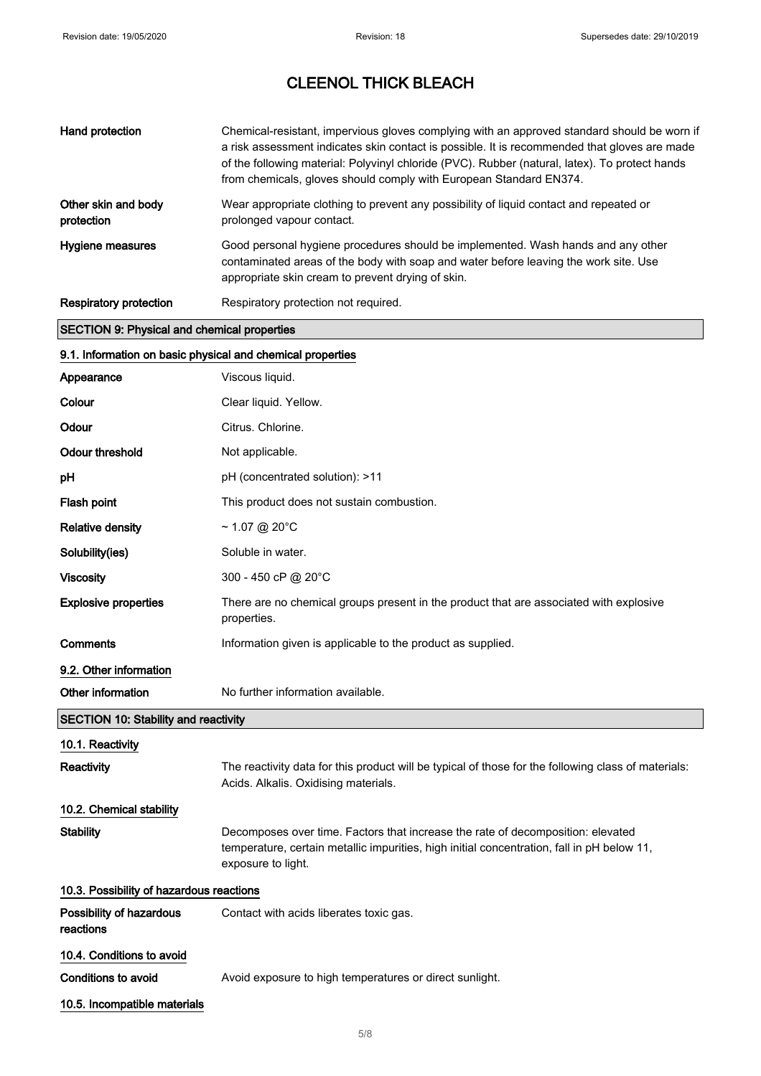| Hand protection                                    | Chemical-resistant, impervious gloves complying with an approved standard should be worn if<br>a risk assessment indicates skin contact is possible. It is recommended that gloves are made<br>of the following material: Polyvinyl chloride (PVC). Rubber (natural, latex). To protect hands<br>from chemicals, gloves should comply with European Standard EN374. |
|----------------------------------------------------|---------------------------------------------------------------------------------------------------------------------------------------------------------------------------------------------------------------------------------------------------------------------------------------------------------------------------------------------------------------------|
| Other skin and body<br>protection                  | Wear appropriate clothing to prevent any possibility of liquid contact and repeated or<br>prolonged vapour contact.                                                                                                                                                                                                                                                 |
| Hygiene measures                                   | Good personal hygiene procedures should be implemented. Wash hands and any other<br>contaminated areas of the body with soap and water before leaving the work site. Use<br>appropriate skin cream to prevent drying of skin.                                                                                                                                       |
| <b>Respiratory protection</b>                      | Respiratory protection not required.                                                                                                                                                                                                                                                                                                                                |
| <b>SECTION 9: Physical and chemical properties</b> |                                                                                                                                                                                                                                                                                                                                                                     |

# 9.1. Information on basic physical and chemical properties

| Appearance                                  | Viscous liquid.                                                                                                                                                                                     |
|---------------------------------------------|-----------------------------------------------------------------------------------------------------------------------------------------------------------------------------------------------------|
| Colour                                      | Clear liquid. Yellow.                                                                                                                                                                               |
| Odour                                       | Citrus. Chlorine.                                                                                                                                                                                   |
| <b>Odour threshold</b>                      | Not applicable.                                                                                                                                                                                     |
| рH                                          | pH (concentrated solution): >11                                                                                                                                                                     |
| Flash point                                 | This product does not sustain combustion.                                                                                                                                                           |
| <b>Relative density</b>                     | ~ 1.07 @ 20°C                                                                                                                                                                                       |
| Solubility(ies)                             | Soluble in water.                                                                                                                                                                                   |
| <b>Viscosity</b>                            | 300 - 450 cP @ 20°C                                                                                                                                                                                 |
| <b>Explosive properties</b>                 | There are no chemical groups present in the product that are associated with explosive<br>properties.                                                                                               |
| Comments                                    | Information given is applicable to the product as supplied.                                                                                                                                         |
| 9.2. Other information                      |                                                                                                                                                                                                     |
| Other information                           | No further information available.                                                                                                                                                                   |
| <b>SECTION 10: Stability and reactivity</b> |                                                                                                                                                                                                     |
| 10.1. Reactivity                            |                                                                                                                                                                                                     |
| Reactivity                                  | The reactivity data for this product will be typical of those for the following class of materials:<br>Acids. Alkalis. Oxidising materials.                                                         |
| 10.2. Chemical stability                    |                                                                                                                                                                                                     |
| Stability                                   | Decomposes over time. Factors that increase the rate of decomposition: elevated<br>temperature, certain metallic impurities, high initial concentration, fall in pH below 11,<br>exposure to light. |
| 10.3. Possibility of hazardous reactions    |                                                                                                                                                                                                     |
| Possibility of hazardous<br>reactions       | Contact with acids liberates toxic gas.                                                                                                                                                             |
| 10.4. Conditions to avoid                   |                                                                                                                                                                                                     |
| <b>Conditions to avoid</b>                  | Avoid exposure to high temperatures or direct sunlight.                                                                                                                                             |
| 10.5. Incompatible materials                |                                                                                                                                                                                                     |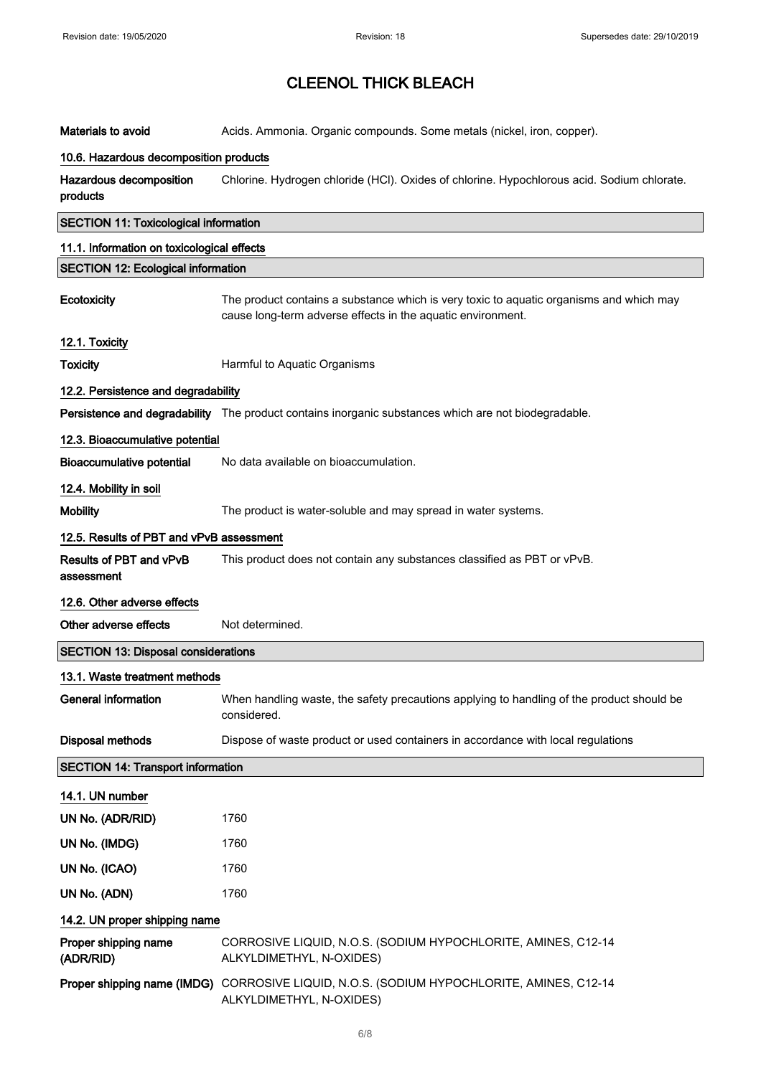| <b>Materials to avoid</b>                    | Acids. Ammonia. Organic compounds. Some metals (nickel, iron, copper).                                                                                 |
|----------------------------------------------|--------------------------------------------------------------------------------------------------------------------------------------------------------|
| 10.6. Hazardous decomposition products       |                                                                                                                                                        |
| Hazardous decomposition<br>products          | Chlorine. Hydrogen chloride (HCl). Oxides of chlorine. Hypochlorous acid. Sodium chlorate.                                                             |
| <b>SECTION 11: Toxicological information</b> |                                                                                                                                                        |
| 11.1. Information on toxicological effects   |                                                                                                                                                        |
| <b>SECTION 12: Ecological information</b>    |                                                                                                                                                        |
| Ecotoxicity                                  | The product contains a substance which is very toxic to aquatic organisms and which may<br>cause long-term adverse effects in the aquatic environment. |
| 12.1. Toxicity                               |                                                                                                                                                        |
| <b>Toxicity</b>                              | Harmful to Aquatic Organisms                                                                                                                           |
| 12.2. Persistence and degradability          |                                                                                                                                                        |
|                                              | Persistence and degradability The product contains inorganic substances which are not biodegradable.                                                   |
| 12.3. Bioaccumulative potential              |                                                                                                                                                        |
| <b>Bioaccumulative potential</b>             | No data available on bioaccumulation.                                                                                                                  |
| 12.4. Mobility in soil                       |                                                                                                                                                        |
| <b>Mobility</b>                              | The product is water-soluble and may spread in water systems.                                                                                          |
| 12.5. Results of PBT and vPvB assessment     |                                                                                                                                                        |
| Results of PBT and vPvB<br>assessment        | This product does not contain any substances classified as PBT or vPvB.                                                                                |
| 12.6. Other adverse effects                  |                                                                                                                                                        |
| Other adverse effects                        | Not determined.                                                                                                                                        |
| <b>SECTION 13: Disposal considerations</b>   |                                                                                                                                                        |
| 13.1. Waste treatment methods                |                                                                                                                                                        |
| General information                          | When handling waste, the safety precautions applying to handling of the product should be<br>considered.                                               |
| <b>Disposal methods</b>                      | Dispose of waste product or used containers in accordance with local regulations                                                                       |
| <b>SECTION 14: Transport information</b>     |                                                                                                                                                        |
| 14.1. UN number                              |                                                                                                                                                        |
| UN No. (ADR/RID)                             | 1760                                                                                                                                                   |
| UN No. (IMDG)                                | 1760                                                                                                                                                   |
| UN No. (ICAO)                                | 1760                                                                                                                                                   |
| UN No. (ADN)                                 | 1760                                                                                                                                                   |
| 14.2. UN proper shipping name                |                                                                                                                                                        |
| Proper shipping name<br>(ADR/RID)            | CORROSIVE LIQUID, N.O.S. (SODIUM HYPOCHLORITE, AMINES, C12-14<br>ALKYLDIMETHYL, N-OXIDES)                                                              |
|                                              | Proper shipping name (IMDG) CORROSIVE LIQUID, N.O.S. (SODIUM HYPOCHLORITE, AMINES, C12-14<br>ALKYLDIMETHYL, N-OXIDES)                                  |
|                                              |                                                                                                                                                        |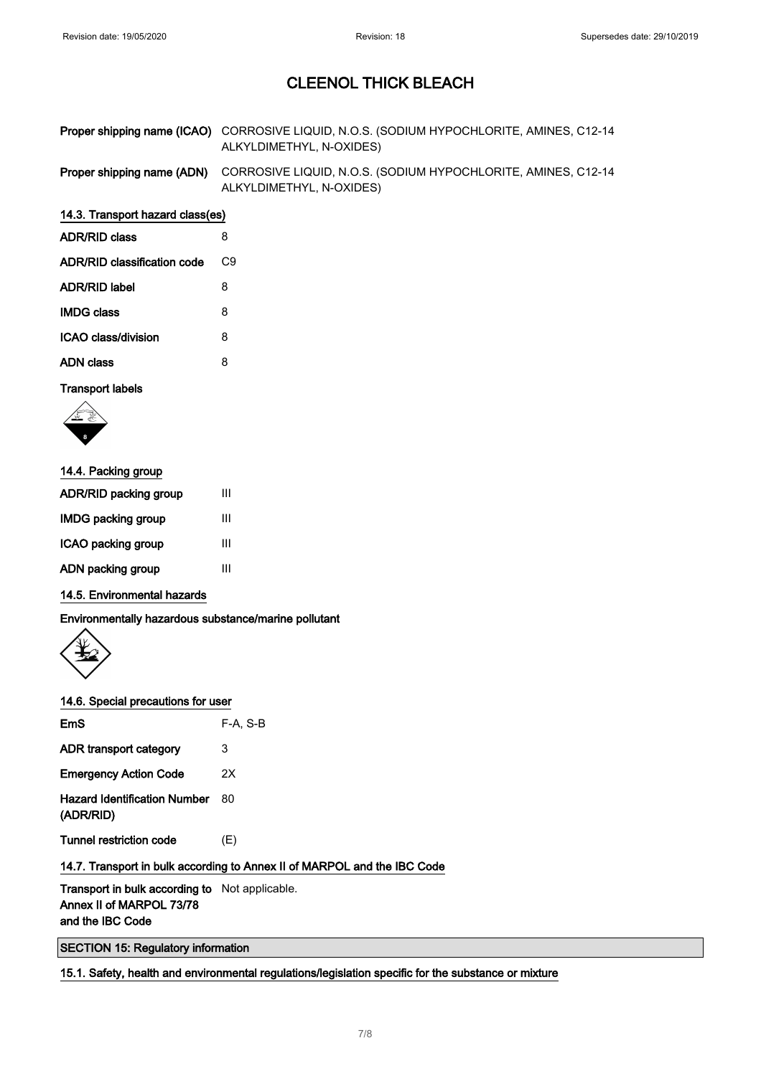| <b>Proper shipping name (ICAO)</b> CORROSIVE LIQUID, N.O.S. (SODIUM HYPOCHLORITE, AMINES, C12-14 |
|--------------------------------------------------------------------------------------------------|
| ALKYLDIMETHYL, N-OXIDES)                                                                         |

Proper shipping name (ADN) CORROSIVE LIQUID, N.O.S. (SODIUM HYPOCHLORITE, AMINES, C12-14 ALKYLDIMETHYL, N-OXIDES)

### 14.3. Transport hazard class(es)

| <b>ADR/RID class</b>        | 8  |
|-----------------------------|----|
| ADR/RID classification code | C9 |
| ADR/RID label               | 8  |
| <b>IMDG class</b>           | 8  |
| ICAO class/division         | 8  |
| ADN class                   | 8  |
|                             |    |

#### Transport labels



| Ш |
|---|
| Ш |
| Ш |
| Ш |
|   |

### 14.5. Environmental hazards

Environmentally hazardous substance/marine pollutant



### 14.6. Special precautions for user

| EmS                                                         | $F-A. S-B$ |
|-------------------------------------------------------------|------------|
| ADR transport category                                      | 3          |
| <b>Emergency Action Code</b>                                | 2Χ         |
| <b>Hazard Identification Number</b><br>(ADR/RID)            | 80         |
| Tunnel restriction code                                     | (E)        |
| . . <del>.</del><br>de las las alles a la consulta de del c |            |

## 14.7. Transport in bulk according to Annex II of MARPOL and the IBC Code

Transport in bulk according to Not applicable. Annex II of MARPOL 73/78 and the IBC Code

SECTION 15: Regulatory information

15.1. Safety, health and environmental regulations/legislation specific for the substance or mixture